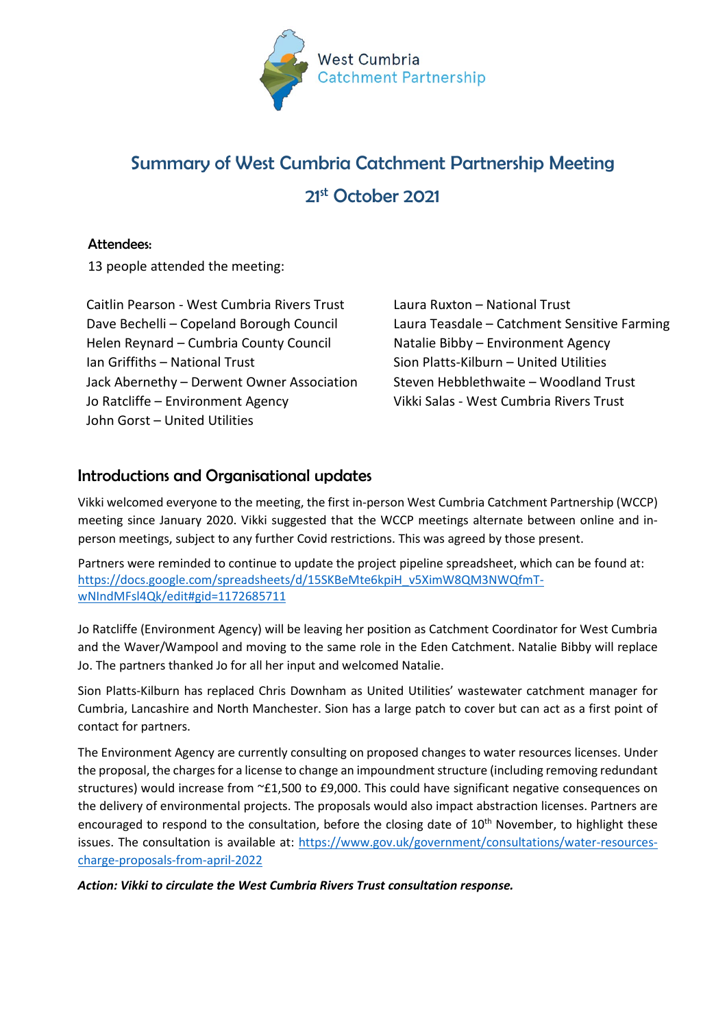

# Summary of West Cumbria Catchment Partnership Meeting 21st October 2021

# Attendees:

13 people attended the meeting:

Caitlin Pearson - West Cumbria Rivers Trust Dave Bechelli – Copeland Borough Council Helen Reynard – Cumbria County Council Ian Griffiths – National Trust Jack Abernethy – Derwent Owner Association Jo Ratcliffe – Environment Agency John Gorst – United Utilities

Laura Ruxton – National Trust Laura Teasdale – Catchment Sensitive Farming Natalie Bibby – Environment Agency Sion Platts-Kilburn – United Utilities Steven Hebblethwaite – Woodland Trust Vikki Salas - West Cumbria Rivers Trust

# Introductions and Organisational updates

Vikki welcomed everyone to the meeting, the first in-person West Cumbria Catchment Partnership (WCCP) meeting since January 2020. Vikki suggested that the WCCP meetings alternate between online and inperson meetings, subject to any further Covid restrictions. This was agreed by those present.

Partners were reminded to continue to update the project pipeline spreadsheet, which can be found at: [https://docs.google.com/spreadsheets/d/15SKBeMte6kpiH\\_v5XimW8QM3NWQfmT](https://docs.google.com/spreadsheets/d/15SKBeMte6kpiH_v5XimW8QM3NWQfmT-wNIndMFsl4Qk/edit#gid=1172685711)[wNIndMFsl4Qk/edit#gid=1172685711](https://docs.google.com/spreadsheets/d/15SKBeMte6kpiH_v5XimW8QM3NWQfmT-wNIndMFsl4Qk/edit#gid=1172685711)

Jo Ratcliffe (Environment Agency) will be leaving her position as Catchment Coordinator for West Cumbria and the Waver/Wampool and moving to the same role in the Eden Catchment. Natalie Bibby will replace Jo. The partners thanked Jo for all her input and welcomed Natalie.

Sion Platts-Kilburn has replaced Chris Downham as United Utilities' wastewater catchment manager for Cumbria, Lancashire and North Manchester. Sion has a large patch to cover but can act as a first point of contact for partners.

The Environment Agency are currently consulting on proposed changes to water resources licenses. Under the proposal, the charges for a license to change an impoundment structure (including removing redundant structures) would increase from ~£1,500 to £9,000. This could have significant negative consequences on the delivery of environmental projects. The proposals would also impact abstraction licenses. Partners are encouraged to respond to the consultation, before the closing date of  $10<sup>th</sup>$  November, to highlight these issues. The consultation is available at: [https://www.gov.uk/government/consultations/water-resources](https://www.gov.uk/government/consultations/water-resources-charge-proposals-from-april-2022)[charge-proposals-from-april-2022](https://www.gov.uk/government/consultations/water-resources-charge-proposals-from-april-2022)

*Action: Vikki to circulate the West Cumbria Rivers Trust consultation response.*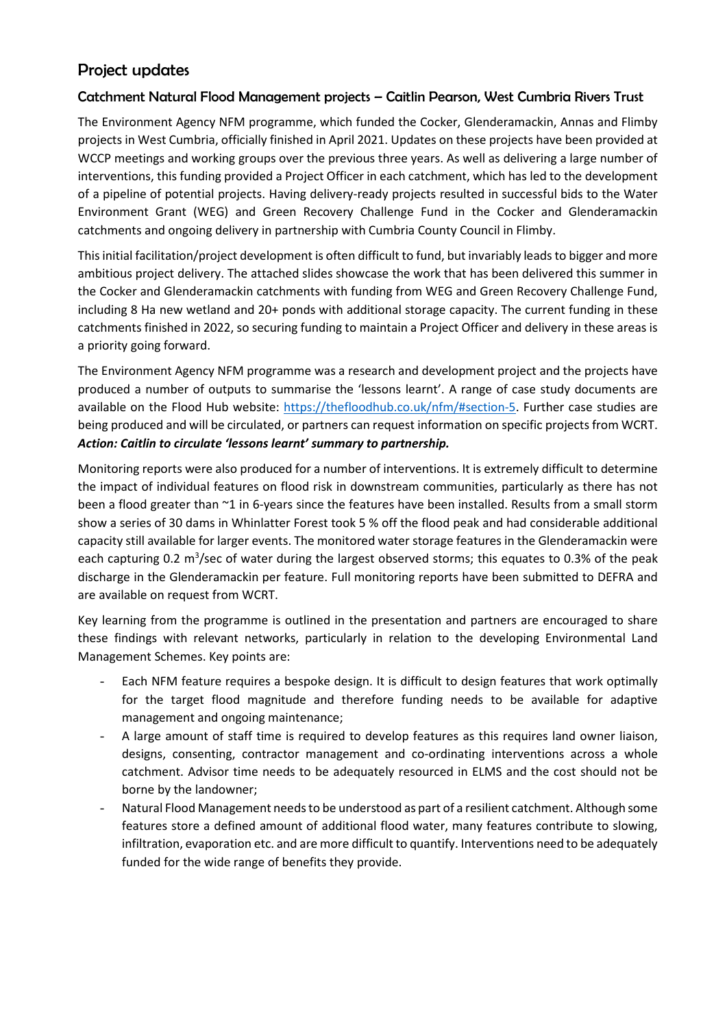# Project updates

# Catchment Natural Flood Management projects – Caitlin Pearson, West Cumbria Rivers Trust

The Environment Agency NFM programme, which funded the Cocker, Glenderamackin, Annas and Flimby projects in West Cumbria, officially finished in April 2021. Updates on these projects have been provided at WCCP meetings and working groups over the previous three years. As well as delivering a large number of interventions, this funding provided a Project Officer in each catchment, which has led to the development of a pipeline of potential projects. Having delivery-ready projects resulted in successful bids to the Water Environment Grant (WEG) and Green Recovery Challenge Fund in the Cocker and Glenderamackin catchments and ongoing delivery in partnership with Cumbria County Council in Flimby.

This initial facilitation/project development is often difficult to fund, but invariably leads to bigger and more ambitious project delivery. The attached slides showcase the work that has been delivered this summer in the Cocker and Glenderamackin catchments with funding from WEG and Green Recovery Challenge Fund, including 8 Ha new wetland and 20+ ponds with additional storage capacity. The current funding in these catchments finished in 2022, so securing funding to maintain a Project Officer and delivery in these areas is a priority going forward.

The Environment Agency NFM programme was a research and development project and the projects have produced a number of outputs to summarise the 'lessons learnt'. A range of case study documents are available on the Flood Hub website: [https://thefloodhub.co.uk/nfm/#section-5.](https://thefloodhub.co.uk/nfm/#section-5) Further case studies are being produced and will be circulated, or partners can request information on specific projects from WCRT. *Action: Caitlin to circulate 'lessons learnt' summary to partnership.*

Monitoring reports were also produced for a number of interventions. It is extremely difficult to determine the impact of individual features on flood risk in downstream communities, particularly as there has not been a flood greater than ~1 in 6-years since the features have been installed. Results from a small storm show a series of 30 dams in Whinlatter Forest took 5 % off the flood peak and had considerable additional capacity still available for larger events. The monitored water storage features in the Glenderamackin were each capturing 0.2 m<sup>3</sup>/sec of water during the largest observed storms; this equates to 0.3% of the peak discharge in the Glenderamackin per feature. Full monitoring reports have been submitted to DEFRA and are available on request from WCRT.

Key learning from the programme is outlined in the presentation and partners are encouraged to share these findings with relevant networks, particularly in relation to the developing Environmental Land Management Schemes. Key points are:

- Each NFM feature requires a bespoke design. It is difficult to design features that work optimally for the target flood magnitude and therefore funding needs to be available for adaptive management and ongoing maintenance;
- A large amount of staff time is required to develop features as this requires land owner liaison, designs, consenting, contractor management and co-ordinating interventions across a whole catchment. Advisor time needs to be adequately resourced in ELMS and the cost should not be borne by the landowner;
- Natural Flood Management needs to be understood as part of a resilient catchment. Although some features store a defined amount of additional flood water, many features contribute to slowing, infiltration, evaporation etc. and are more difficult to quantify. Interventions need to be adequately funded for the wide range of benefits they provide.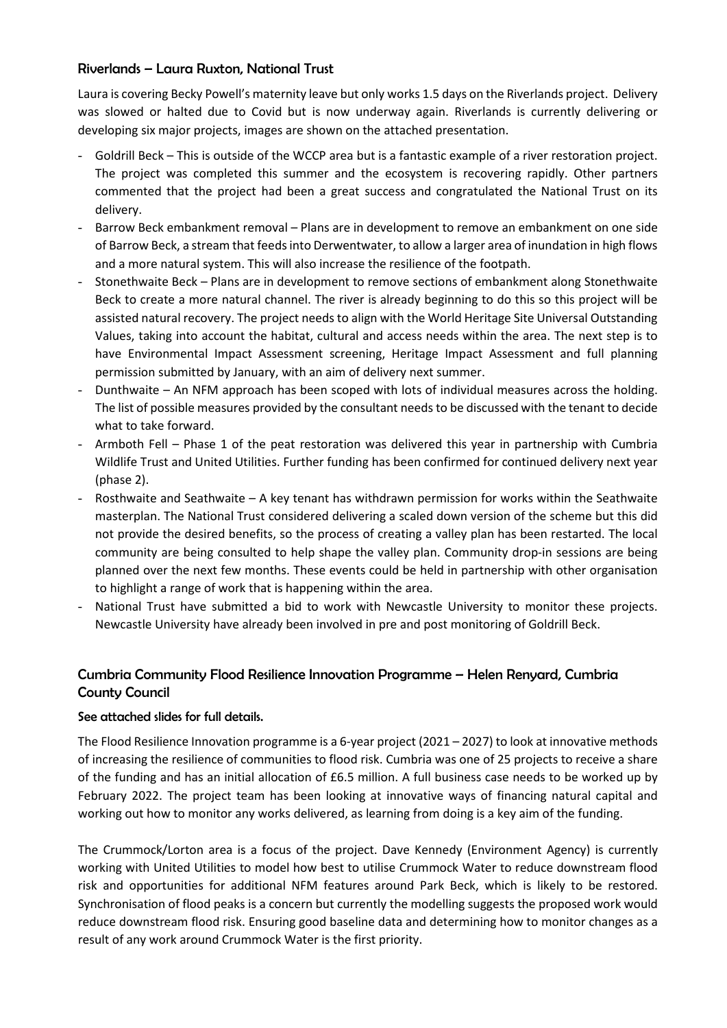#### Riverlands – Laura Ruxton, National Trust

Laura is covering Becky Powell's maternity leave but only works 1.5 days on the Riverlands project. Delivery was slowed or halted due to Covid but is now underway again. Riverlands is currently delivering or developing six major projects, images are shown on the attached presentation.

- Goldrill Beck This is outside of the WCCP area but is a fantastic example of a river restoration project. The project was completed this summer and the ecosystem is recovering rapidly. Other partners commented that the project had been a great success and congratulated the National Trust on its delivery.
- Barrow Beck embankment removal Plans are in development to remove an embankment on one side of Barrow Beck, a stream that feeds into Derwentwater, to allow a larger area of inundation in high flows and a more natural system. This will also increase the resilience of the footpath.
- Stonethwaite Beck Plans are in development to remove sections of embankment along Stonethwaite Beck to create a more natural channel. The river is already beginning to do this so this project will be assisted natural recovery. The project needs to align with the World Heritage Site Universal Outstanding Values, taking into account the habitat, cultural and access needs within the area. The next step is to have Environmental Impact Assessment screening, Heritage Impact Assessment and full planning permission submitted by January, with an aim of delivery next summer.
- Dunthwaite An NFM approach has been scoped with lots of individual measures across the holding. The list of possible measures provided by the consultant needs to be discussed with the tenant to decide what to take forward.
- Armboth Fell Phase 1 of the peat restoration was delivered this year in partnership with Cumbria Wildlife Trust and United Utilities. Further funding has been confirmed for continued delivery next year (phase 2).
- Rosthwaite and Seathwaite A key tenant has withdrawn permission for works within the Seathwaite masterplan. The National Trust considered delivering a scaled down version of the scheme but this did not provide the desired benefits, so the process of creating a valley plan has been restarted. The local community are being consulted to help shape the valley plan. Community drop-in sessions are being planned over the next few months. These events could be held in partnership with other organisation to highlight a range of work that is happening within the area.
- National Trust have submitted a bid to work with Newcastle University to monitor these projects. Newcastle University have already been involved in pre and post monitoring of Goldrill Beck.

# Cumbria Community Flood Resilience Innovation Programme – Helen Renyard, Cumbria County Council

#### See attached slides for full details.

The Flood Resilience Innovation programme is a 6-year project (2021 – 2027) to look at innovative methods of increasing the resilience of communities to flood risk. Cumbria was one of 25 projects to receive a share of the funding and has an initial allocation of £6.5 million. A full business case needs to be worked up by February 2022. The project team has been looking at innovative ways of financing natural capital and working out how to monitor any works delivered, as learning from doing is a key aim of the funding.

The Crummock/Lorton area is a focus of the project. Dave Kennedy (Environment Agency) is currently working with United Utilities to model how best to utilise Crummock Water to reduce downstream flood risk and opportunities for additional NFM features around Park Beck, which is likely to be restored. Synchronisation of flood peaks is a concern but currently the modelling suggests the proposed work would reduce downstream flood risk. Ensuring good baseline data and determining how to monitor changes as a result of any work around Crummock Water is the first priority.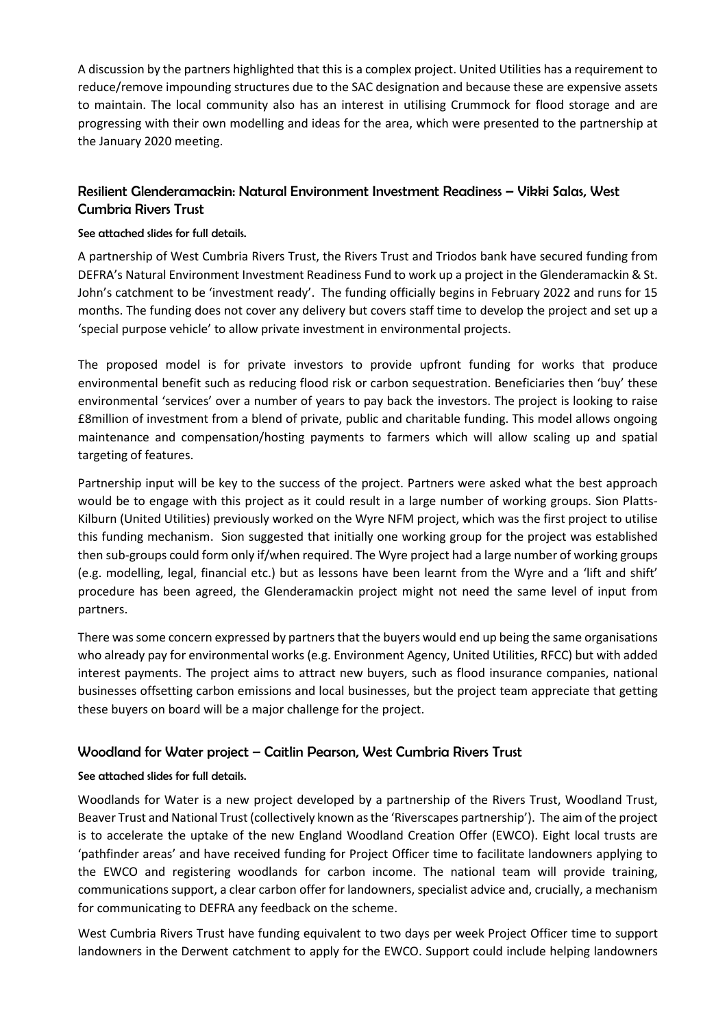A discussion by the partners highlighted that this is a complex project. United Utilities has a requirement to reduce/remove impounding structures due to the SAC designation and because these are expensive assets to maintain. The local community also has an interest in utilising Crummock for flood storage and are progressing with their own modelling and ideas for the area, which were presented to the partnership at the January 2020 meeting.

# Resilient Glenderamackin: Natural Environment Investment Readiness – Vikki Salas, West Cumbria Rivers Trust

#### See attached slides for full details.

A partnership of West Cumbria Rivers Trust, the Rivers Trust and Triodos bank have secured funding from DEFRA's Natural Environment Investment Readiness Fund to work up a project in the Glenderamackin & St. John's catchment to be 'investment ready'. The funding officially begins in February 2022 and runs for 15 months. The funding does not cover any delivery but covers staff time to develop the project and set up a 'special purpose vehicle' to allow private investment in environmental projects.

The proposed model is for private investors to provide upfront funding for works that produce environmental benefit such as reducing flood risk or carbon sequestration. Beneficiaries then 'buy' these environmental 'services' over a number of years to pay back the investors. The project is looking to raise £8million of investment from a blend of private, public and charitable funding. This model allows ongoing maintenance and compensation/hosting payments to farmers which will allow scaling up and spatial targeting of features.

Partnership input will be key to the success of the project. Partners were asked what the best approach would be to engage with this project as it could result in a large number of working groups. Sion Platts-Kilburn (United Utilities) previously worked on the Wyre NFM project, which was the first project to utilise this funding mechanism. Sion suggested that initially one working group for the project was established then sub-groups could form only if/when required. The Wyre project had a large number of working groups (e.g. modelling, legal, financial etc.) but as lessons have been learnt from the Wyre and a 'lift and shift' procedure has been agreed, the Glenderamackin project might not need the same level of input from partners.

There was some concern expressed by partners that the buyers would end up being the same organisations who already pay for environmental works (e.g. Environment Agency, United Utilities, RFCC) but with added interest payments. The project aims to attract new buyers, such as flood insurance companies, national businesses offsetting carbon emissions and local businesses, but the project team appreciate that getting these buyers on board will be a major challenge for the project.

# Woodland for Water project – Caitlin Pearson, West Cumbria Rivers Trust

#### See attached slides for full details.

Woodlands for Water is a new project developed by a partnership of the Rivers Trust, Woodland Trust, Beaver Trust and National Trust (collectively known as the 'Riverscapes partnership'). The aim of the project is to accelerate the uptake of the new England Woodland Creation Offer (EWCO). Eight local trusts are 'pathfinder areas' and have received funding for Project Officer time to facilitate landowners applying to the EWCO and registering woodlands for carbon income. The national team will provide training, communications support, a clear carbon offer for landowners, specialist advice and, crucially, a mechanism for communicating to DEFRA any feedback on the scheme.

West Cumbria Rivers Trust have funding equivalent to two days per week Project Officer time to support landowners in the Derwent catchment to apply for the EWCO. Support could include helping landowners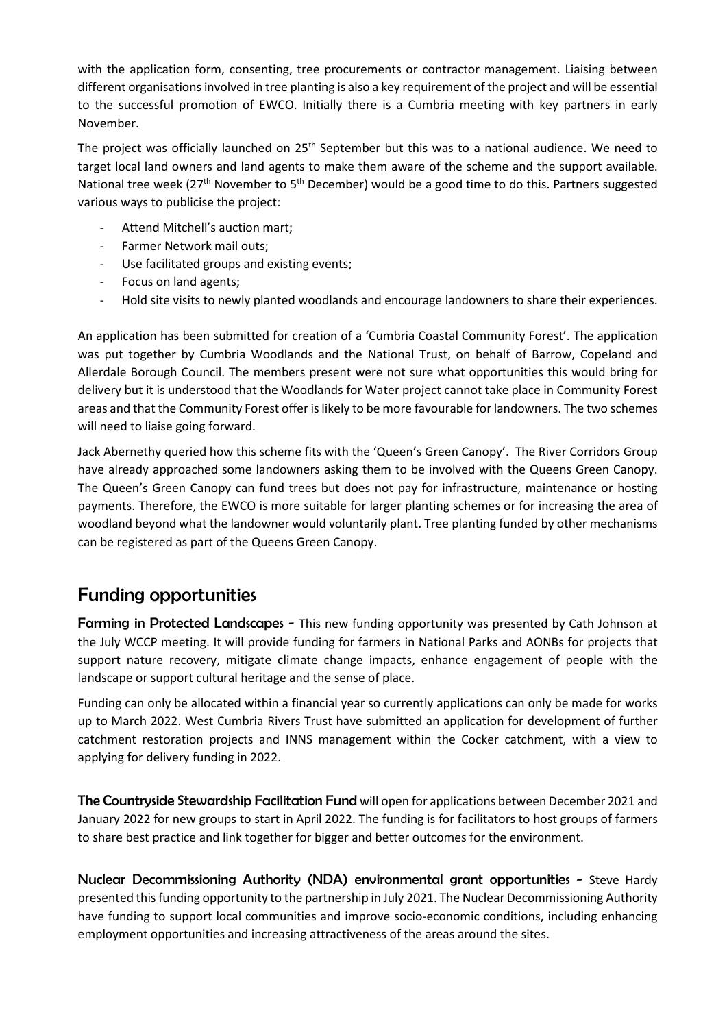with the application form, consenting, tree procurements or contractor management. Liaising between different organisations involved in tree planting is also a key requirement of the project and will be essential to the successful promotion of EWCO. Initially there is a Cumbria meeting with key partners in early November.

The project was officially launched on  $25<sup>th</sup>$  September but this was to a national audience. We need to target local land owners and land agents to make them aware of the scheme and the support available. National tree week (27<sup>th</sup> November to 5<sup>th</sup> December) would be a good time to do this. Partners suggested various ways to publicise the project:

- Attend Mitchell's auction mart;
- Farmer Network mail outs;
- Use facilitated groups and existing events;
- Focus on land agents;
- Hold site visits to newly planted woodlands and encourage landowners to share their experiences.

An application has been submitted for creation of a 'Cumbria Coastal Community Forest'. The application was put together by Cumbria Woodlands and the National Trust, on behalf of Barrow, Copeland and Allerdale Borough Council. The members present were not sure what opportunities this would bring for delivery but it is understood that the Woodlands for Water project cannot take place in Community Forest areas and that the Community Forest offer is likely to be more favourable for landowners. The two schemes will need to liaise going forward.

Jack Abernethy queried how this scheme fits with the 'Queen's Green Canopy'. The River Corridors Group have already approached some landowners asking them to be involved with the Queens Green Canopy. The Queen's Green Canopy can fund trees but does not pay for infrastructure, maintenance or hosting payments. Therefore, the EWCO is more suitable for larger planting schemes or for increasing the area of woodland beyond what the landowner would voluntarily plant. Tree planting funded by other mechanisms can be registered as part of the Queens Green Canopy.

# Funding opportunities

Farming in Protected Landscapes - This new funding opportunity was presented by Cath Johnson at the July WCCP meeting. It will provide funding for farmers in National Parks and AONBs for projects that support nature recovery, mitigate climate change impacts, enhance engagement of people with the landscape or support cultural heritage and the sense of place.

Funding can only be allocated within a financial year so currently applications can only be made for works up to March 2022. West Cumbria Rivers Trust have submitted an application for development of further catchment restoration projects and INNS management within the Cocker catchment, with a view to applying for delivery funding in 2022.

The Countryside Stewardship Facilitation Fund will open for applications between December 2021 and January 2022 for new groups to start in April 2022. The funding is for facilitators to host groups of farmers to share best practice and link together for bigger and better outcomes for the environment.

Nuclear Decommissioning Authority (NDA) environmental grant opportunities - Steve Hardy presented this funding opportunity to the partnership in July 2021. The Nuclear Decommissioning Authority have funding to support local communities and improve socio-economic conditions, including enhancing employment opportunities and increasing attractiveness of the areas around the sites.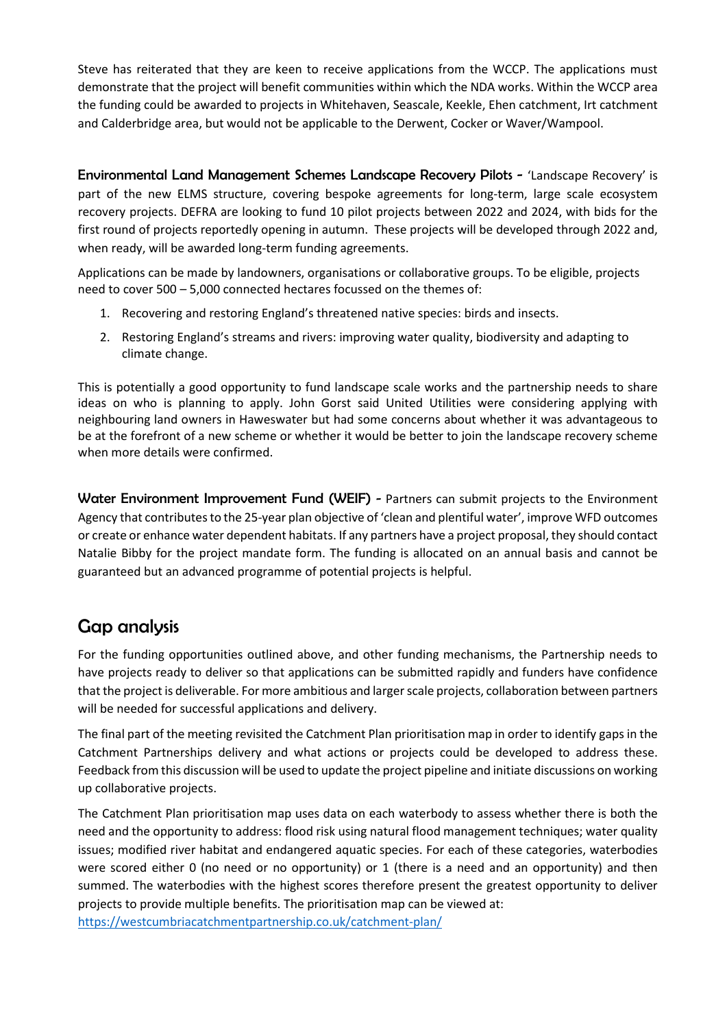Steve has reiterated that they are keen to receive applications from the WCCP. The applications must demonstrate that the project will benefit communities within which the NDA works. Within the WCCP area the funding could be awarded to projects in Whitehaven, Seascale, Keekle, Ehen catchment, Irt catchment and Calderbridge area, but would not be applicable to the Derwent, Cocker or Waver/Wampool.

Environmental Land Management Schemes Landscape Recovery Pilots - 'Landscape Recovery' is part of the new ELMS structure, covering bespoke agreements for long-term, large scale ecosystem recovery projects. DEFRA are looking to fund 10 pilot projects between 2022 and 2024, with bids for the first round of projects reportedly opening in autumn. These projects will be developed through 2022 and, when ready, will be awarded long-term funding agreements.

Applications can be made by landowners, organisations or collaborative groups. To be eligible, projects need to cover 500 – 5,000 connected hectares focussed on the themes of:

- 1. Recovering and restoring England's threatened native species: birds and insects.
- 2. Restoring England's streams and rivers: improving water quality, biodiversity and adapting to climate change.

This is potentially a good opportunity to fund landscape scale works and the partnership needs to share ideas on who is planning to apply. John Gorst said United Utilities were considering applying with neighbouring land owners in Haweswater but had some concerns about whether it was advantageous to be at the forefront of a new scheme or whether it would be better to join the landscape recovery scheme when more details were confirmed.

Water Environment Improvement Fund (WEIF) - Partners can submit projects to the Environment Agency that contributes to the 25-year plan objective of 'clean and plentiful water', improve WFD outcomes or create or enhance water dependent habitats. If any partners have a project proposal, they should contact Natalie Bibby for the project mandate form. The funding is allocated on an annual basis and cannot be guaranteed but an advanced programme of potential projects is helpful.

# Gap analysis

For the funding opportunities outlined above, and other funding mechanisms, the Partnership needs to have projects ready to deliver so that applications can be submitted rapidly and funders have confidence that the project is deliverable. For more ambitious and larger scale projects, collaboration between partners will be needed for successful applications and delivery.

The final part of the meeting revisited the Catchment Plan prioritisation map in order to identify gaps in the Catchment Partnerships delivery and what actions or projects could be developed to address these. Feedback from this discussion will be used to update the project pipeline and initiate discussions on working up collaborative projects.

The Catchment Plan prioritisation map uses data on each waterbody to assess whether there is both the need and the opportunity to address: flood risk using natural flood management techniques; water quality issues; modified river habitat and endangered aquatic species. For each of these categories, waterbodies were scored either 0 (no need or no opportunity) or 1 (there is a need and an opportunity) and then summed. The waterbodies with the highest scores therefore present the greatest opportunity to deliver projects to provide multiple benefits. The prioritisation map can be viewed at:

<https://westcumbriacatchmentpartnership.co.uk/catchment-plan/>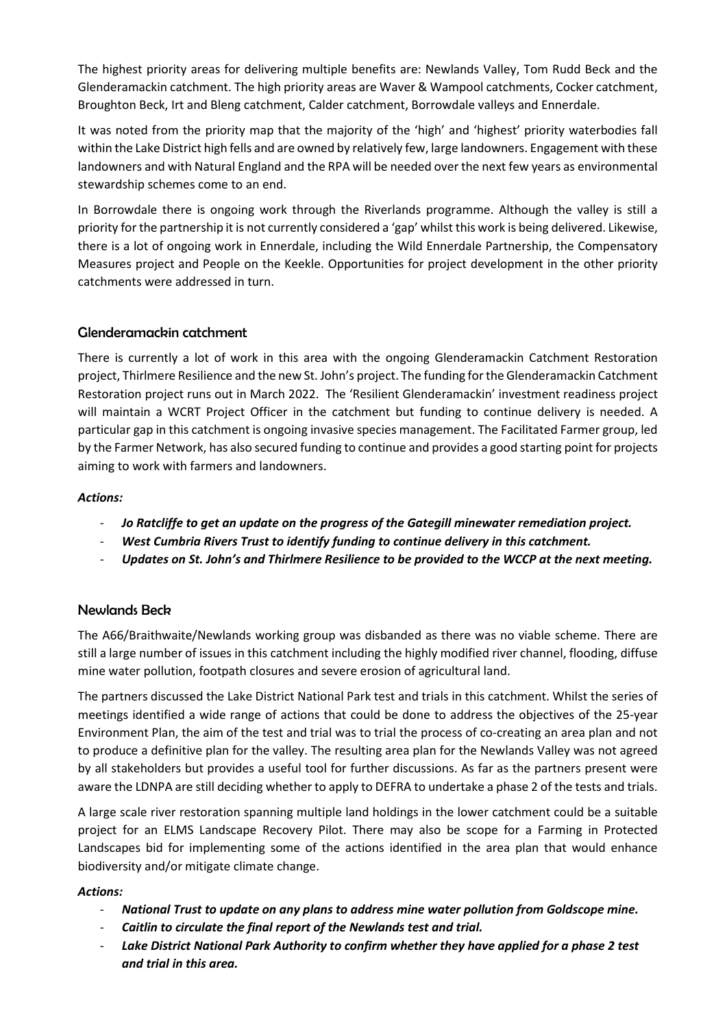The highest priority areas for delivering multiple benefits are: Newlands Valley, Tom Rudd Beck and the Glenderamackin catchment. The high priority areas are Waver & Wampool catchments, Cocker catchment, Broughton Beck, Irt and Bleng catchment, Calder catchment, Borrowdale valleys and Ennerdale.

It was noted from the priority map that the majority of the 'high' and 'highest' priority waterbodies fall within the Lake District high fells and are owned by relatively few, large landowners. Engagement with these landowners and with Natural England and the RPA will be needed over the next few years as environmental stewardship schemes come to an end.

In Borrowdale there is ongoing work through the Riverlands programme. Although the valley is still a priority for the partnership it is not currently considered a 'gap' whilst this work is being delivered. Likewise, there is a lot of ongoing work in Ennerdale, including the Wild Ennerdale Partnership, the Compensatory Measures project and People on the Keekle. Opportunities for project development in the other priority catchments were addressed in turn.

# Glenderamackin catchment

There is currently a lot of work in this area with the ongoing Glenderamackin Catchment Restoration project, Thirlmere Resilience and the new St. John's project. The funding for the Glenderamackin Catchment Restoration project runs out in March 2022. The 'Resilient Glenderamackin' investment readiness project will maintain a WCRT Project Officer in the catchment but funding to continue delivery is needed. A particular gap in this catchment is ongoing invasive species management. The Facilitated Farmer group, led by the Farmer Network, has also secured funding to continue and provides a good starting point for projects aiming to work with farmers and landowners.

#### *Actions:*

- *Jo Ratcliffe to get an update on the progress of the Gategill minewater remediation project.*
- *West Cumbria Rivers Trust to identify funding to continue delivery in this catchment.*
- *Updates on St. John's and Thirlmere Resilience to be provided to the WCCP at the next meeting.*

# Newlands Beck

The A66/Braithwaite/Newlands working group was disbanded as there was no viable scheme. There are still a large number of issues in this catchment including the highly modified river channel, flooding, diffuse mine water pollution, footpath closures and severe erosion of agricultural land.

The partners discussed the Lake District National Park test and trials in this catchment. Whilst the series of meetings identified a wide range of actions that could be done to address the objectives of the 25-year Environment Plan, the aim of the test and trial was to trial the process of co-creating an area plan and not to produce a definitive plan for the valley. The resulting area plan for the Newlands Valley was not agreed by all stakeholders but provides a useful tool for further discussions. As far as the partners present were aware the LDNPA are still deciding whether to apply to DEFRA to undertake a phase 2 of the tests and trials.

A large scale river restoration spanning multiple land holdings in the lower catchment could be a suitable project for an ELMS Landscape Recovery Pilot. There may also be scope for a Farming in Protected Landscapes bid for implementing some of the actions identified in the area plan that would enhance biodiversity and/or mitigate climate change.

#### *Actions:*

- *National Trust to update on any plans to address mine water pollution from Goldscope mine.*
- *Caitlin to circulate the final report of the Newlands test and trial.*
- *Lake District National Park Authority to confirm whether they have applied for a phase 2 test and trial in this area.*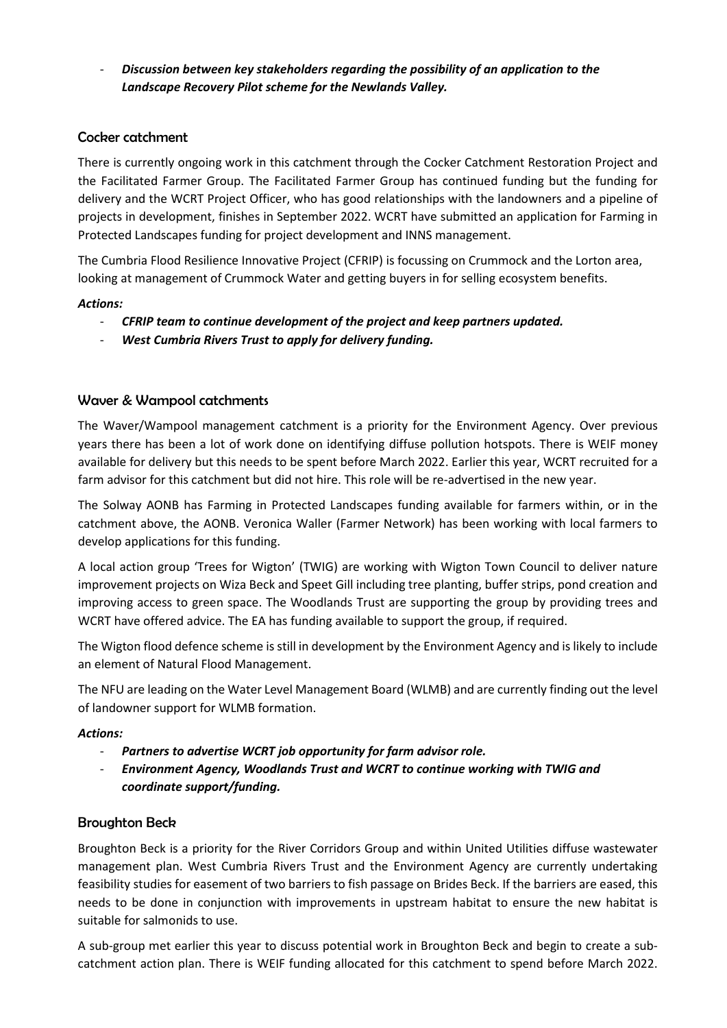- *Discussion between key stakeholders regarding the possibility of an application to the Landscape Recovery Pilot scheme for the Newlands Valley.* 

### Cocker catchment

There is currently ongoing work in this catchment through the Cocker Catchment Restoration Project and the Facilitated Farmer Group. The Facilitated Farmer Group has continued funding but the funding for delivery and the WCRT Project Officer, who has good relationships with the landowners and a pipeline of projects in development, finishes in September 2022. WCRT have submitted an application for Farming in Protected Landscapes funding for project development and INNS management.

The Cumbria Flood Resilience Innovative Project (CFRIP) is focussing on Crummock and the Lorton area, looking at management of Crummock Water and getting buyers in for selling ecosystem benefits.

#### *Actions:*

- *CFRIP team to continue development of the project and keep partners updated.*
- West Cumbria Rivers Trust to apply for delivery funding.

#### Waver & Wampool catchments

The Waver/Wampool management catchment is a priority for the Environment Agency. Over previous years there has been a lot of work done on identifying diffuse pollution hotspots. There is WEIF money available for delivery but this needs to be spent before March 2022. Earlier this year, WCRT recruited for a farm advisor for this catchment but did not hire. This role will be re-advertised in the new year.

The Solway AONB has Farming in Protected Landscapes funding available for farmers within, or in the catchment above, the AONB. Veronica Waller (Farmer Network) has been working with local farmers to develop applications for this funding.

A local action group 'Trees for Wigton' (TWIG) are working with Wigton Town Council to deliver nature improvement projects on Wiza Beck and Speet Gill including tree planting, buffer strips, pond creation and improving access to green space. The Woodlands Trust are supporting the group by providing trees and WCRT have offered advice. The EA has funding available to support the group, if required.

The Wigton flood defence scheme is still in development by the Environment Agency and is likely to include an element of Natural Flood Management.

The NFU are leading on the Water Level Management Board (WLMB) and are currently finding out the level of landowner support for WLMB formation.

#### *Actions:*

- *Partners to advertise WCRT job opportunity for farm advisor role.*
- *Environment Agency, Woodlands Trust and WCRT to continue working with TWIG and coordinate support/funding.*

#### Broughton Beck

Broughton Beck is a priority for the River Corridors Group and within United Utilities diffuse wastewater management plan. West Cumbria Rivers Trust and the Environment Agency are currently undertaking feasibility studies for easement of two barriers to fish passage on Brides Beck. If the barriers are eased, this needs to be done in conjunction with improvements in upstream habitat to ensure the new habitat is suitable for salmonids to use.

A sub-group met earlier this year to discuss potential work in Broughton Beck and begin to create a subcatchment action plan. There is WEIF funding allocated for this catchment to spend before March 2022.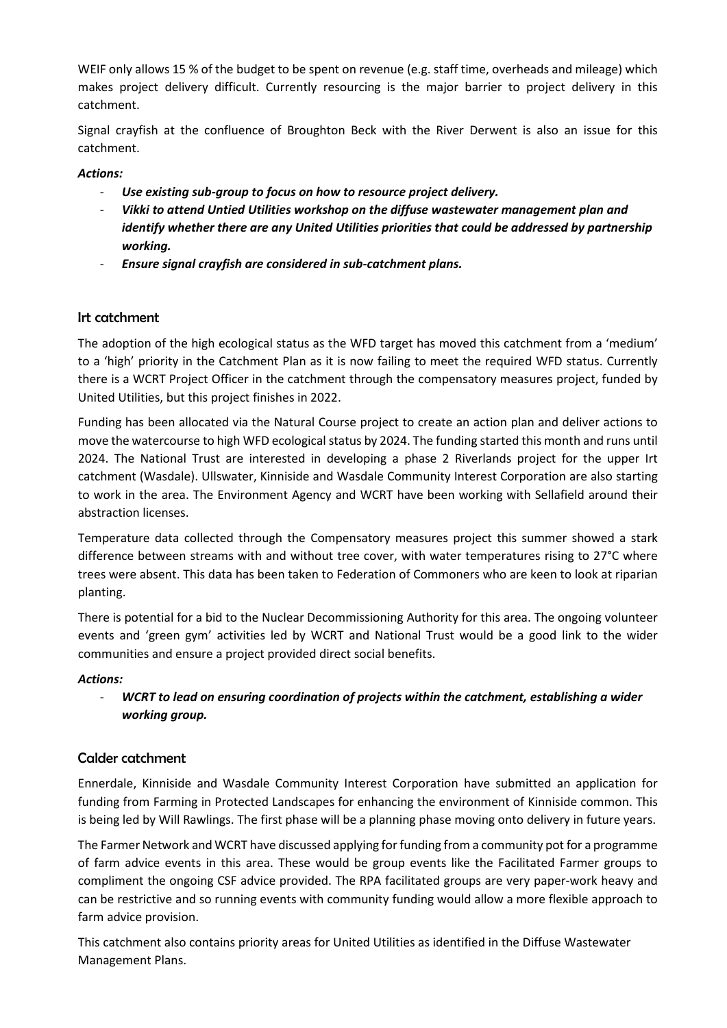WEIF only allows 15 % of the budget to be spent on revenue (e.g. staff time, overheads and mileage) which makes project delivery difficult. Currently resourcing is the major barrier to project delivery in this catchment.

Signal crayfish at the confluence of Broughton Beck with the River Derwent is also an issue for this catchment.

#### *Actions:*

- *Use existing sub-group to focus on how to resource project delivery.*
- *Vikki to attend Untied Utilities workshop on the diffuse wastewater management plan and identify whether there are any United Utilities priorities that could be addressed by partnership working.*
- *Ensure signal crayfish are considered in sub-catchment plans.*

# Irt catchment

The adoption of the high ecological status as the WFD target has moved this catchment from a 'medium' to a 'high' priority in the Catchment Plan as it is now failing to meet the required WFD status. Currently there is a WCRT Project Officer in the catchment through the compensatory measures project, funded by United Utilities, but this project finishes in 2022.

Funding has been allocated via the Natural Course project to create an action plan and deliver actions to move the watercourse to high WFD ecological status by 2024. The funding started this month and runs until 2024. The National Trust are interested in developing a phase 2 Riverlands project for the upper Irt catchment (Wasdale). Ullswater, Kinniside and Wasdale Community Interest Corporation are also starting to work in the area. The Environment Agency and WCRT have been working with Sellafield around their abstraction licenses.

Temperature data collected through the Compensatory measures project this summer showed a stark difference between streams with and without tree cover, with water temperatures rising to 27°C where trees were absent. This data has been taken to Federation of Commoners who are keen to look at riparian planting.

There is potential for a bid to the Nuclear Decommissioning Authority for this area. The ongoing volunteer events and 'green gym' activities led by WCRT and National Trust would be a good link to the wider communities and ensure a project provided direct social benefits.

#### *Actions:*

- *WCRT to lead on ensuring coordination of projects within the catchment, establishing a wider working group.* 

# Calder catchment

Ennerdale, Kinniside and Wasdale Community Interest Corporation have submitted an application for funding from Farming in Protected Landscapes for enhancing the environment of Kinniside common. This is being led by Will Rawlings. The first phase will be a planning phase moving onto delivery in future years.

The Farmer Network and WCRT have discussed applying for funding from a community pot for a programme of farm advice events in this area. These would be group events like the Facilitated Farmer groups to compliment the ongoing CSF advice provided. The RPA facilitated groups are very paper-work heavy and can be restrictive and so running events with community funding would allow a more flexible approach to farm advice provision.

This catchment also contains priority areas for United Utilities as identified in the Diffuse Wastewater Management Plans.